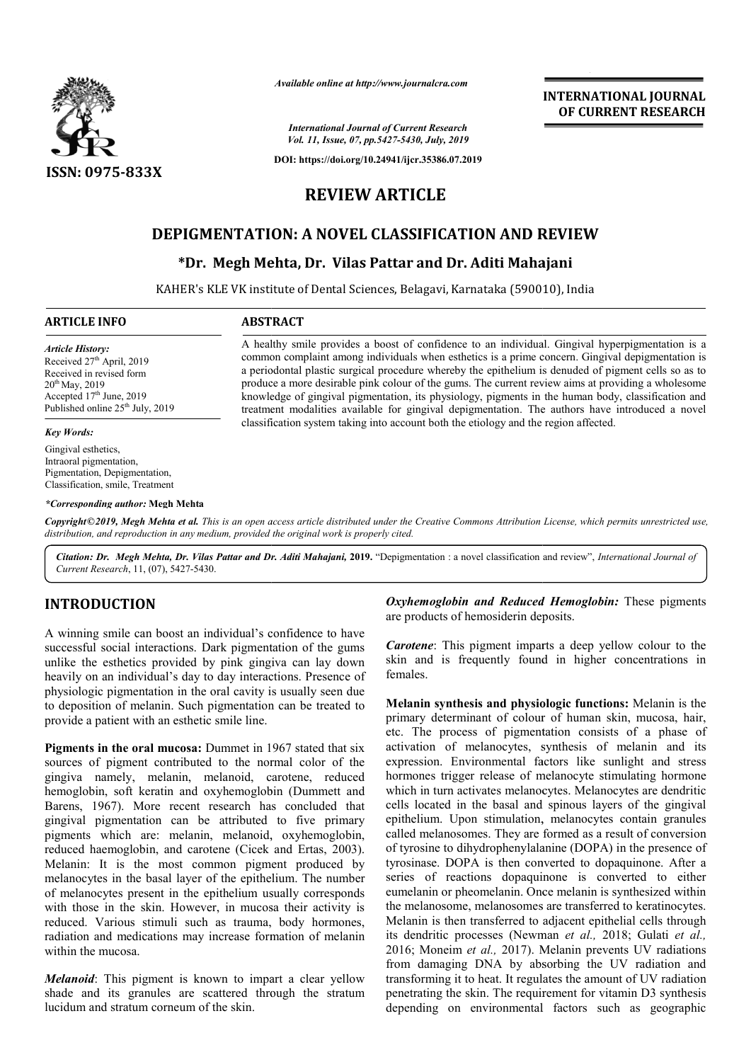

*Available online at http://www.journalcra.com*

*International Journal of Current Research Vol. 11, Issue, 07, pp.5427-5430, July, 2019*

**DOI: https://doi.org/10.24941/ijcr.35386.07.2019**

# **REVIEW ARTICLE**

# **DEPIGMENTATION: A NOVEL CLASSIFICATION AND REVIEW**

# **\*Dr. Megh Mehta, Dr. Vilas Pattar and Dr. Dr. Aditi Mahajani**

KAHER's KLE VK institute of Dental Sciences, Belagavi, Karnataka (590010), India

A healthy smile provides a boost of confidence to an individual. Gingival hyperpigmentation is a common complaint among individuals when esthetics is a prime concern. Gingival depigmentation is a periodontal plastic surgical procedure whereby the epithelium is denuded of pigment cells so as to A healthy smile provides a boost of confidence to an individual. Gingival hyperpigmentation is a common complaint among individuals when esthetics is a prime concern. Gingival depigmentation is a periodontal plastic surgic

knowledge of gingival pigmentation, its physiology, pigments in the human body, classification and treatment modalities available for gingival depigmentation. The authors have introduced a novel

knowledge of gingival pigmentation, its physiology, pigments in the human body, classification<br>treatment modalities available for gingival depigmentation. The authors have introduced a<br>classification system taking into acc

classification system taking into account both the etiology and the region affected.

#### **ARTICLE INFO ABSTRACT**

*Article History:* Received 27<sup>th</sup> April, 2019 Received in revised form 20th May, 2019 Accepted 17<sup>th</sup> June, 2019 Published online 25<sup>th</sup> July, 2019

#### *Key Words:*

Gingival esthetics, Intraoral pigmentation, Pigmentation, Depigmentation, Classification, smile, Treatment

#### *\*Corresponding author:* **Megh Mehta**

Copyright©2019, Megh Mehta et al. This is an open access article distributed under the Creative Commons Attribution License, which permits unrestricted use, *distribution, and reproduction in any medium, provided the original work is properly cited.*

Citation: Dr. Megh Mehta, Dr. Vilas Pattar and Dr. Aditi Mahajani, 2019. "Depigmentation : a novel classification and review", *International Journal of Current Research*, 11, (07), 5427-5430.

## **INTRODUCTION**

A winning smile can boost an individual's confidence to have successful social interactions. Dark pigmentation of the gums unlike the esthetics provided by pink gingiva can lay down heavily on an individual's day to day interactions. Presence of physiologic pigmentation in the oral cavity is usually seen due to deposition of melanin. Such pigmentation can be treated to provide a patient with an esthetic smile line.

Pigments in the oral mucosa: Dummet in 1967 stated that six sources of pigment contributed to the normal color of the gingiva namely, melanin, melanoid, carotene, reduced hemoglobin, soft keratin and oxyhemoglobin (Dummett and Barens, 1967). More recent research has concluded that gingival pigmentation can be attributed to five primary pigments which are: melanin, melanoid, oxyhemoglobin, reduced haemoglobin, and carotene (Cicek Cicek and Ertas, 2003). Melanin: It is the most common pigment produced by melanocytes in the basal layer of the epithelium. The number of melanocytes present in the epithelium usually corresponds with those in the skin. However, in mucosa their activity is reduced. Various stimuli such as trauma, body hormones, radiation and medications may increase formation of within the mucosa. he epithelium. The number<br>helium usually corresponds<br>in mucosa their activity is<br>trauma, body hormones,<br>rease formation of melanin

*Melanoid*: This pigment is known to impart a clear yellow shade and its granules are scattered through the stratum lucidum and stratum corneum of the skin.

*Oxyhemoglobin and Reduced Hemoglobin:* These pigments are products of hemosiderin deposits. are products of hemosiderin deposits.<br>**Carotene**: This pigment imparts a deep yellow colour to the

**INTERNATIONAL JOURNAL OF CURRENT RESEARCH**

skin and is frequently found in higher concentrations in females.

**Melanin synthesis and physiologic functions:** Melanin is the primary determinant of colour of human skin, mucosa, hair, etc. The process of pigmentation consists of a phase of activation of melanocytes, synthesis of melanin and its expression. Environmental factors like sunlight and stress hormones trigger release of melanocyte stimulating hormone which in turn activates melanocytes. Melanocytes are dendritic cells located in the basal and spinous layers of the gingival epithelium. Upon stimulation, melanocytes contain granules called melanosomes. They are formed as a result of conversion of tyrosine to dihydrophenylalanine (DOPA) in the presence of tyrosinase. DOPA is then converted to dopaquinone. After a series of reactions dopaquinone is converted to either eumelanin or pheomelanin. Once melanin is synthesized within the melanosome, melanosomes are transferr Melanin is then transferred to adjacent epithelial cells through Melanin is then transferred to adjacent epithelial cells through<br>its dendritic processes (Newman *et al., 2018; Gulati et al.,* 2016; Moneim *et al.,* 2017). Melanin prevents UV radiations 2016; Moneim et al., 2017). Melanin prevents UV radiations from damaging DNA by absorbing the UV radiation and transforming it to heat. It regulates the amount of UV radiation penetrating the skin. The requirement for vitamin D3 synthesis depending on environmental factors such as geographic etc. The process of pigmentation consists of a phase of activation of melanocytes, synthesis of melanin and its expression. Environmental factors like sunlight and stress hormones trigger release of melanocytes the melanit **INTERNATIONAL JOURNAL EST (CONSUMPLY ASSEMBATION CONSUMPLY (CONSUMPLY)**<br> **CONSUMPLY (CONSUMPLY)**<br> **CONSUMPLY (CONSUMPLY)**<br> **PATICLE**<br> **CONSUMPLY (CONSUMPLY)**<br> **RATICLE**<br> **CONSUMPLY (EXECUTION AND REVIEW**<br> **CONSUMPLY (EXE**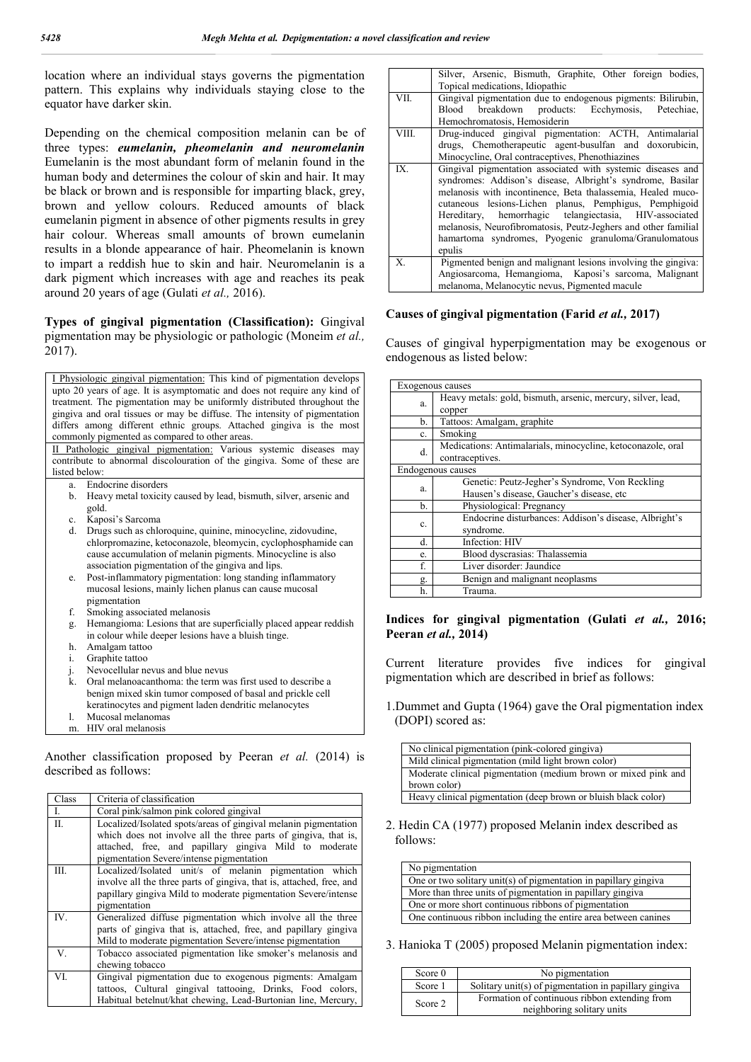location where an individual stays governs the pigmentation pattern. This explains why individuals staying close to the equator have darker skin.

Depending on the chemical composition melanin can be of three types: *eumelanin, pheomelanin and neuromelanin* Eumelanin is the most abundant form of melanin found in the human body and determines the colour of skin and hair. It may be black or brown and is responsible for imparting black, grey, brown and yellow colours. Reduced amounts of black eumelanin pigment in absence of other pigments results in grey hair colour. Whereas small amounts of brown eumelanin results in a blonde appearance of hair. Pheomelanin is known to impart a reddish hue to skin and hair. Neuromelanin is a dark pigment which increases with age and reaches its peak around 20 years of age (Gulati *et al.,* 2016).

#### **Types of gingival pigmentation (Classification):** Gingival pigmentation may be physiologic or pathologic (Moneim *et al.,*  2017).

I Physiologic gingival pigmentation: This kind of pigmentation develops upto 20 years of age. It is asymptomatic and does not require any kind of treatment. The pigmentation may be uniformly distributed throughout the gingiva and oral tissues or may be diffuse. The intensity of pigmentation differs among different ethnic groups. Attached gingiva is the most commonly pigmented as compared to other areas. II Pathologic gingival pigmentation: Various systemic diseases may contribute to abnormal discolouration of the gingiva. Some of these are listed below: a. Endocrine disorders b. Heavy metal toxicity caused by lead, bismuth, silver, arsenic and gold. Kaposi's Sarcoma d. Drugs such as chloroquine, quinine, minocycline, zidovudine, chlorpromazine, ketoconazole, bleomycin, cyclophosphamide can cause accumulation of melanin pigments. Minocycline is also association pigmentation of the gingiva and lips. e. Post-inflammatory pigmentation: long standing inflammatory mucosal lesions, mainly lichen planus can cause mucosal pigmentation f. Smoking associated melanosis Hemangioma: Lesions that are superficially placed appear reddish in colour while deeper lesions have a bluish tinge. h. Amalgam tattoo i. Graphite tattoo j. Nevocellular nevus and blue nevus k. Oral melanoacanthoma: the term was first used to describe a benign mixed skin tumor composed of basal and prickle cell keratinocytes and pigment laden dendritic melanocytes l. Mucosal melanomas HIV oral melanosis Another classification proposed by Peeran *et al.* (2014) is

| Class | Criteria of classification                                                                                                                                                                   |
|-------|----------------------------------------------------------------------------------------------------------------------------------------------------------------------------------------------|
| I.    | Coral pink/salmon pink colored gingival                                                                                                                                                      |
| II.   | Localized/Isolated spots/areas of gingival melanin pigmentation<br>which does not involve all the three parts of gingiva, that is,                                                           |
|       | attached, free, and papillary gingiva Mild to moderate<br>pigmentation Severe/intense pigmentation                                                                                           |
| III.  | Localized/Isolated unit/s of melanin pigmentation which<br>involve all the three parts of gingiva, that is, attached, free, and                                                              |
|       | papillary gingiva Mild to moderate pigmentation Severe/intense<br>pigmentation                                                                                                               |
| IV.   | Generalized diffuse pigmentation which involve all the three<br>parts of gingiva that is, attached, free, and papillary gingiva<br>Mild to moderate pigmentation Severe/intense pigmentation |
| V.    | Tobacco associated pigmentation like smoker's melanosis and<br>chewing tobacco                                                                                                               |
| VI.   | Gingival pigmentation due to exogenous pigments: Amalgam<br>tattoos, Cultural gingival tattooing, Drinks, Food colors,<br>Habitual betelnut/khat chewing, Lead-Burtonian line, Mercury,      |

described as follows:

|       | Silver, Arsenic, Bismuth, Graphite, Other foreign bodies,                                                                                                                                                                                                                                                                                                                                                                                         |  |
|-------|---------------------------------------------------------------------------------------------------------------------------------------------------------------------------------------------------------------------------------------------------------------------------------------------------------------------------------------------------------------------------------------------------------------------------------------------------|--|
|       | Topical medications, Idiopathic                                                                                                                                                                                                                                                                                                                                                                                                                   |  |
| VII.  | Gingival pigmentation due to endogenous pigments: Bilirubin,                                                                                                                                                                                                                                                                                                                                                                                      |  |
|       | Blood breakdown products: Ecchymosis, Petechiae,                                                                                                                                                                                                                                                                                                                                                                                                  |  |
|       | Hemochromatosis, Hemosiderin                                                                                                                                                                                                                                                                                                                                                                                                                      |  |
| VIII. | Drug-induced gingival pigmentation: ACTH, Antimalarial                                                                                                                                                                                                                                                                                                                                                                                            |  |
|       | drugs, Chemotherapeutic agent-busulfan and doxorubicin,                                                                                                                                                                                                                                                                                                                                                                                           |  |
|       | Minocycline, Oral contraceptives, Phenothiazines                                                                                                                                                                                                                                                                                                                                                                                                  |  |
| IX.   | Gingival pigmentation associated with systemic diseases and<br>syndromes: Addison's disease, Albright's syndrome, Basilar<br>melanosis with incontinence, Beta thalassemia, Healed muco-<br>cutaneous lesions-Lichen planus, Pemphigus, Pemphigoid<br>Hereditary, hemorrhagic telangiectasia, HIV-associated<br>melanosis, Neurofibromatosis, Peutz-Jeghers and other familial<br>hamartoma syndromes, Pyogenic granuloma/Granulomatous<br>epulis |  |
| X.    | Pigmented benign and malignant lesions involving the gingiva:                                                                                                                                                                                                                                                                                                                                                                                     |  |
|       | Angiosarcoma, Hemangioma, Kaposi's sarcoma, Malignant                                                                                                                                                                                                                                                                                                                                                                                             |  |
|       | melanoma, Melanocytic nevus, Pigmented macule                                                                                                                                                                                                                                                                                                                                                                                                     |  |

#### **Causes of gingival pigmentation (Farid** *et al.,* **2017)**

Causes of gingival hyperpigmentation may be exogenous or endogenous as listed below:

| Exogenous causes  |                                                              |  |
|-------------------|--------------------------------------------------------------|--|
| a.                | Heavy metals: gold, bismuth, arsenic, mercury, silver, lead, |  |
|                   | copper                                                       |  |
| b.                | Tattoos: Amalgam, graphite                                   |  |
| c.                | Smoking                                                      |  |
| d.                | Medications: Antimalarials, minocycline, ketoconazole, oral  |  |
|                   | contraceptives.                                              |  |
| Endogenous causes |                                                              |  |
| a.                | Genetic: Peutz-Jegher's Syndrome, Von Reckling               |  |
|                   | Hausen's disease, Gaucher's disease, etc                     |  |
| b.                | Physiological: Pregnancy                                     |  |
| c.                | Endocrine disturbances: Addison's disease, Albright's        |  |
|                   | syndrome.                                                    |  |
| d.                | Infection: HIV                                               |  |
| e.                | Blood dyscrasias: Thalassemia                                |  |
| f.                | Liver disorder: Jaundice                                     |  |
| g.                | Benign and malignant neoplasms                               |  |
| h.                | Trauma.                                                      |  |

## **Indices for gingival pigmentation (Gulati** *et al.,* **2016; Peeran** *et al.,* **2014)**

Current literature provides five indices for gingival pigmentation which are described in brief as follows:

1.Dummet and Gupta (1964) gave the Oral pigmentation index (DOPI) scored as:

| No clinical pigmentation (pink-colored gingiva)                |
|----------------------------------------------------------------|
| Mild clinical pigmentation (mild light brown color)            |
| Moderate clinical pigmentation (medium brown or mixed pink and |
| brown color)                                                   |
| Heavy clinical pigmentation (deep brown or bluish black color) |

2. Hedin CA (1977) proposed Melanin index described as follows:

| No pigmentation                                                  |
|------------------------------------------------------------------|
| One or two solitary unit(s) of pigmentation in papillary gingiva |
| More than three units of pigmentation in papillary gingiva       |
| One or more short continuous ribbons of pigmentation             |
| One continuous ribbon including the entire area between canines  |

3. Hanioka T (2005) proposed Melanin pigmentation index:

| Score $0$ | No pigmentation                                                             |
|-----------|-----------------------------------------------------------------------------|
| Score 1   | Solitary unit(s) of pigmentation in papillary gingiva                       |
| Score 2   | Formation of continuous ribbon extending from<br>neighboring solitary units |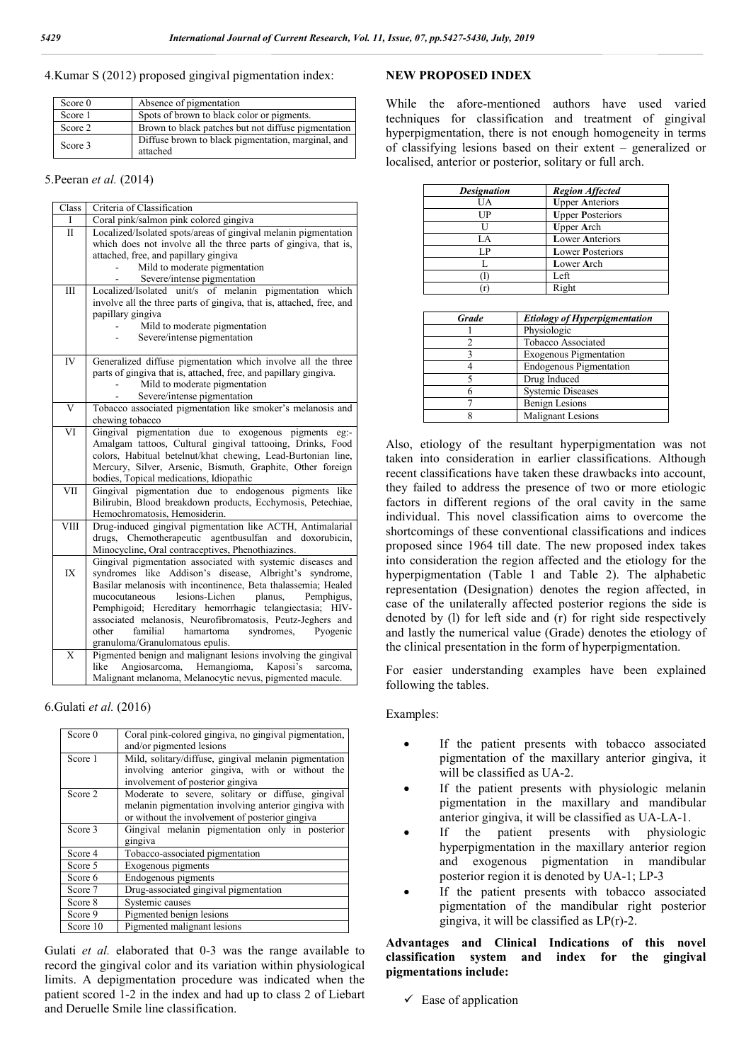#### 4.Kumar S (2012) proposed gingival pigmentation index:

| Score $0$ | Absence of pigmentation                                        |
|-----------|----------------------------------------------------------------|
| Score 1   | Spots of brown to black color or pigments.                     |
| Score 2   | Brown to black patches but not diffuse pigmentation            |
| Score 3   | Diffuse brown to black pigmentation, marginal, and<br>attached |

#### 5.Peeran *et al.* (2014)

| Class                    | Criteria of Classification                                                                        |
|--------------------------|---------------------------------------------------------------------------------------------------|
| L                        | Coral pink/salmon pink colored gingiva                                                            |
| Π                        | Localized/Isolated spots/areas of gingival melanin pigmentation                                   |
|                          | which does not involve all the three parts of gingiva, that is,                                   |
|                          | attached, free, and papillary gingiva                                                             |
|                          | Mild to moderate pigmentation                                                                     |
|                          | Severe/intense pigmentation                                                                       |
| IΙI                      | Localized/Isolated unit/s of melanin pigmentation which                                           |
|                          | involve all the three parts of gingiva, that is, attached, free, and                              |
|                          | papillary gingiva                                                                                 |
|                          | Mild to moderate pigmentation                                                                     |
|                          | Severe/intense pigmentation                                                                       |
| <b>IV</b>                | Generalized diffuse pigmentation which involve all the three                                      |
|                          | parts of gingiva that is, attached, free, and papillary gingiva.                                  |
|                          | Mild to moderate pigmentation                                                                     |
|                          | Severe/intense pigmentation                                                                       |
| $\overline{\mathbf{V}}$  | Tobacco associated pigmentation like smoker's melanosis and                                       |
|                          | chewing tobacco                                                                                   |
| VI                       | Gingival pigmentation due to exogenous pigments<br>$eg$ :-                                        |
|                          | Amalgam tattoos, Cultural gingival tattooing, Drinks, Food                                        |
|                          | colors, Habitual betelnut/khat chewing, Lead-Burtonian line,                                      |
|                          | Mercury, Silver, Arsenic, Bismuth, Graphite, Other foreign                                        |
|                          | bodies, Topical medications, Idiopathic                                                           |
| <b>VII</b>               | Gingival pigmentation due to endogenous pigments like                                             |
|                          | Bilirubin, Blood breakdown products, Ecchymosis, Petechiae,                                       |
|                          | Hemochromatosis, Hemosiderin.                                                                     |
| $\overline{\text{VIII}}$ | Drug-induced gingival pigmentation like ACTH, Antimalarial                                        |
|                          | drugs, Chemotherapeutic agentbusulfan and doxorubicin,                                            |
|                          | Minocycline, Oral contraceptives, Phenothiazines.                                                 |
|                          | Gingival pigmentation associated with systemic diseases and                                       |
| IX                       | syndromes like Addison's disease, Albright's syndrome,                                            |
|                          | Basilar melanosis with incontinence, Beta thalassemia; Healed<br>lesions-Lichen                   |
|                          | mucocutaneous<br>planus,<br>Pemphigus,<br>Pemphigoid; Hereditary hemorrhagic telangiectasia; HIV- |
|                          | associated melanosis, Neurofibromatosis, Peutz-Jeghers and                                        |
|                          | familial<br>hamartoma<br>syndromes,<br>Pyogenic<br>other                                          |
|                          | granuloma/Granulomatous epulis.                                                                   |
| $\overline{X}$           | Pigmented benign and malignant lesions involving the gingival                                     |
|                          | Angiosarcoma, Hemangioma,<br>Kaposi's<br>like<br>sarcoma,                                         |
|                          | Malignant melanoma, Melanocytic nevus, pigmented macule.                                          |
|                          |                                                                                                   |

#### 6.Gulati *et al.* (2016)

| Score 0  | Coral pink-colored gingiva, no gingival pigmentation,<br>and/or pigmented lesions                                                                            |  |
|----------|--------------------------------------------------------------------------------------------------------------------------------------------------------------|--|
| Score 1  | Mild, solitary/diffuse, gingival melanin pigmentation<br>involving anterior gingiva, with or without the<br>involvement of posterior gingiva                 |  |
| Score 2  | Moderate to severe, solitary or diffuse, gingival<br>melanin pigmentation involving anterior gingiva with<br>or without the involvement of posterior gingiva |  |
| Score 3  | Gingival melanin pigmentation only in posterior<br>gingiva                                                                                                   |  |
| Score 4  | Tobacco-associated pigmentation                                                                                                                              |  |
| Score 5  | Exogenous pigments                                                                                                                                           |  |
| Score 6  | Endogenous pigments                                                                                                                                          |  |
| Score 7  | Drug-associated gingival pigmentation                                                                                                                        |  |
| Score 8  | Systemic causes                                                                                                                                              |  |
| Score 9  | Pigmented benign lesions                                                                                                                                     |  |
| Score 10 | Pigmented malignant lesions                                                                                                                                  |  |

Gulati *et al.* elaborated that 0-3 was the range available to record the gingival color and its variation within physiological limits. A depigmentation procedure was indicated when the patient scored 1-2 in the index and had up to class 2 of Liebart and Deruelle Smile line classification.

## **NEW PROPOSED INDEX**

While the afore-mentioned authors have used varied techniques for classification and treatment of gingival hyperpigmentation, there is not enough homogeneity in terms of classifying lesions based on their extent – generalized or localised, anterior or posterior, solitary or full arch.

| <b>Designation</b> | <b>Region Affected</b>  |
|--------------------|-------------------------|
| UA                 | <b>Upper Anteriors</b>  |
| UP                 | <b>Upper Posteriors</b> |
| Н                  | <b>Upper Arch</b>       |
| LA                 | <b>Lower Anteriors</b>  |
| I P                | <b>Lower Posteriors</b> |
|                    | Lower Arch              |
|                    | Left                    |
|                    | Right                   |

| <b>Grade</b> | <b>Etiology of Hyperpigmentation</b> |
|--------------|--------------------------------------|
|              | Physiologic                          |
|              | Tobacco Associated                   |
|              | <b>Exogenous Pigmentation</b>        |
|              | <b>Endogenous Pigmentation</b>       |
|              | Drug Induced                         |
|              | <b>Systemic Diseases</b>             |
|              | <b>Benign Lesions</b>                |
|              | Malignant Lesions                    |

Also, etiology of the resultant hyperpigmentation was not taken into consideration in earlier classifications. Although recent classifications have taken these drawbacks into account, they failed to address the presence of two or more etiologic factors in different regions of the oral cavity in the same individual. This novel classification aims to overcome the shortcomings of these conventional classifications and indices proposed since 1964 till date. The new proposed index takes into consideration the region affected and the etiology for the hyperpigmentation (Table 1 and Table 2). The alphabetic representation (Designation) denotes the region affected, in case of the unilaterally affected posterior regions the side is denoted by (l) for left side and (r) for right side respectively and lastly the numerical value (Grade) denotes the etiology of the clinical presentation in the form of hyperpigmentation.

For easier understanding examples have been explained following the tables.

#### Examples:

- If the patient presents with tobacco associated pigmentation of the maxillary anterior gingiva, it will be classified as UA-2.
- If the patient presents with physiologic melanin pigmentation in the maxillary and mandibular anterior gingiva, it will be classified as UA-LA-1.
- If the patient presents with physiologic hyperpigmentation in the maxillary anterior region and exogenous pigmentation in mandibular posterior region it is denoted by UA-1; LP-3
- If the patient presents with tobacco associated pigmentation of the mandibular right posterior gingiva, it will be classified as LP(r)-2.

## **Advantages and Clinical Indications of this novel classification system and index for the gingival pigmentations include:**

 $\checkmark$  Ease of application